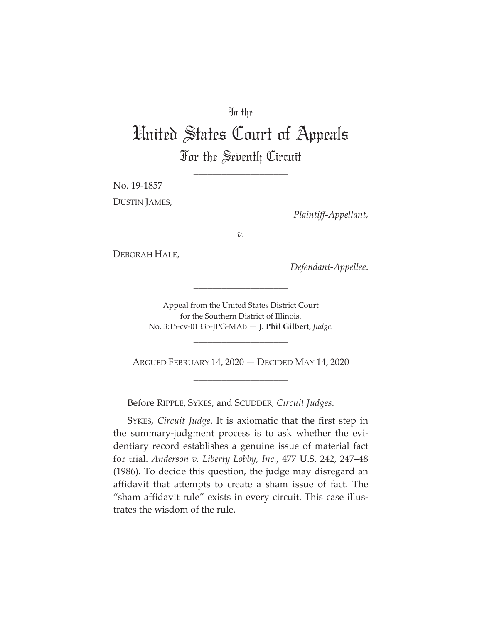# In the

# United States Court of Appeals For the Seventh Circuit

\_\_\_\_\_\_\_\_\_\_\_\_\_\_\_\_\_\_\_\_

No. 19-1857

DUSTIN JAMES,

*Plaintiff-Appellant*,

*v.*

DEBORAH HALE,

*Defendant-Appellee*.

Appeal from the United States District Court for the Southern District of Illinois. No. 3:15-cv-01335-JPG-MAB — **J. Phil Gilbert**, *Judge*.

\_\_\_\_\_\_\_\_\_\_\_\_\_\_\_\_\_\_\_\_

\_\_\_\_\_\_\_\_\_\_\_\_\_\_\_\_\_\_\_\_

ARGUED FEBRUARY 14, 2020 — DECIDED MAY 14, 2020 \_\_\_\_\_\_\_\_\_\_\_\_\_\_\_\_\_\_\_\_

Before RIPPLE, SYKES, and SCUDDER, *Circuit Judges*.

SYKES, *Circuit Judge*. It is axiomatic that the first step in the summary-judgment process is to ask whether the evidentiary record establishes a genuine issue of material fact for trial. *Anderson v. Liberty Lobby, Inc.*, 477 U.S. 242, 247–48 (1986). To decide this question, the judge may disregard an affidavit that attempts to create a sham issue of fact. The "sham affidavit rule" exists in every circuit. This case illustrates the wisdom of the rule.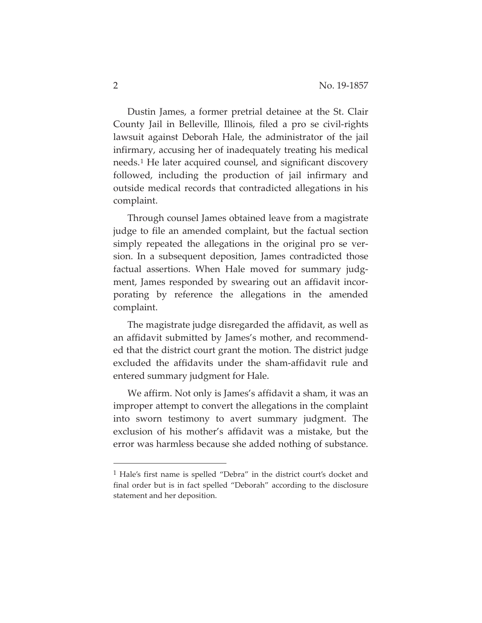Dustin James, a former pretrial detainee at the St. Clair County Jail in Belleville, Illinois, filed a pro se civil-rights lawsuit against Deborah Hale, the administrator of the jail infirmary, accusing her of inadequately treating his medical needs.1 He later acquired counsel, and significant discovery followed, including the production of jail infirmary and outside medical records that contradicted allegations in his complaint.

Through counsel James obtained leave from a magistrate judge to file an amended complaint, but the factual section simply repeated the allegations in the original pro se version. In a subsequent deposition, James contradicted those factual assertions. When Hale moved for summary judgment, James responded by swearing out an affidavit incorporating by reference the allegations in the amended complaint.

The magistrate judge disregarded the affidavit, as well as an affidavit submitted by James's mother, and recommended that the district court grant the motion. The district judge excluded the affidavits under the sham-affidavit rule and entered summary judgment for Hale.

We affirm. Not only is James's affidavit a sham, it was an improper attempt to convert the allegations in the complaint into sworn testimony to avert summary judgment. The exclusion of his mother's affidavit was a mistake, but the error was harmless because she added nothing of substance.

<sup>1</sup> Hale's first name is spelled "Debra" in the district court's docket and final order but is in fact spelled "Deborah" according to the disclosure statement and her deposition.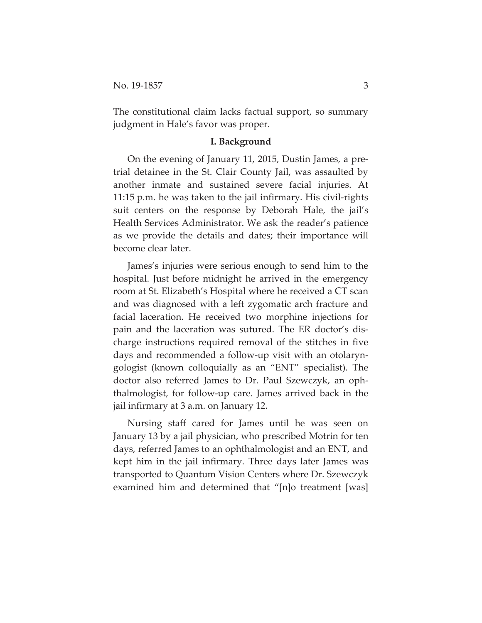The constitutional claim lacks factual support, so summary judgment in Hale's favor was proper.

#### **I. Background**

On the evening of January 11, 2015, Dustin James, a pretrial detainee in the St. Clair County Jail, was assaulted by another inmate and sustained severe facial injuries. At 11:15 p.m. he was taken to the jail infirmary. His civil-rights suit centers on the response by Deborah Hale, the jail's Health Services Administrator. We ask the reader's patience as we provide the details and dates; their importance will become clear later.

James's injuries were serious enough to send him to the hospital. Just before midnight he arrived in the emergency room at St. Elizabeth's Hospital where he received a CT scan and was diagnosed with a left zygomatic arch fracture and facial laceration. He received two morphine injections for pain and the laceration was sutured. The ER doctor's discharge instructions required removal of the stitches in five days and recommended a follow-up visit with an otolaryngologist (known colloquially as an "ENT" specialist). The doctor also referred James to Dr. Paul Szewczyk, an ophthalmologist, for follow-up care. James arrived back in the jail infirmary at 3 a.m. on January 12.

Nursing staff cared for James until he was seen on January 13 by a jail physician, who prescribed Motrin for ten days, referred James to an ophthalmologist and an ENT, and kept him in the jail infirmary. Three days later James was transported to Quantum Vision Centers where Dr. Szewczyk examined him and determined that "[n]o treatment [was]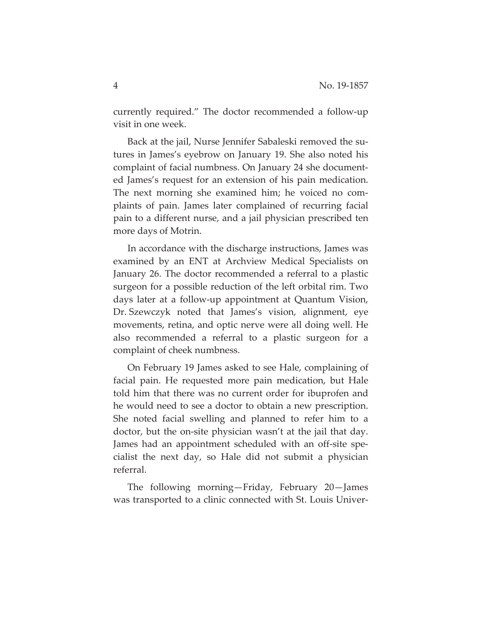currently required." The doctor recommended a follow-up visit in one week.

Back at the jail, Nurse Jennifer Sabaleski removed the sutures in James's eyebrow on January 19. She also noted his complaint of facial numbness. On January 24 she documented James's request for an extension of his pain medication. The next morning she examined him; he voiced no complaints of pain. James later complained of recurring facial pain to a different nurse, and a jail physician prescribed ten more days of Motrin.

In accordance with the discharge instructions, James was examined by an ENT at Archview Medical Specialists on January 26. The doctor recommended a referral to a plastic surgeon for a possible reduction of the left orbital rim. Two days later at a follow-up appointment at Quantum Vision, Dr. Szewczyk noted that James's vision, alignment, eye movements, retina, and optic nerve were all doing well. He also recommended a referral to a plastic surgeon for a complaint of cheek numbness.

On February 19 James asked to see Hale, complaining of facial pain. He requested more pain medication, but Hale told him that there was no current order for ibuprofen and he would need to see a doctor to obtain a new prescription. She noted facial swelling and planned to refer him to a doctor, but the on-site physician wasn't at the jail that day. James had an appointment scheduled with an off-site specialist the next day, so Hale did not submit a physician referral.

The following morning—Friday, February 20—James was transported to a clinic connected with St. Louis Univer-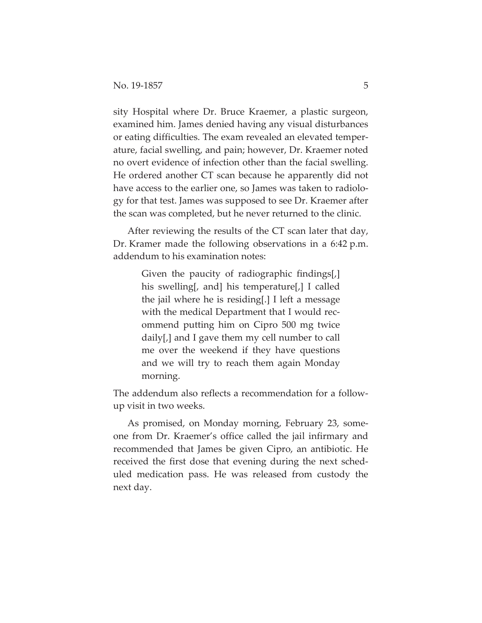sity Hospital where Dr. Bruce Kraemer, a plastic surgeon, examined him. James denied having any visual disturbances or eating difficulties. The exam revealed an elevated temperature, facial swelling, and pain; however, Dr. Kraemer noted no overt evidence of infection other than the facial swelling. He ordered another CT scan because he apparently did not have access to the earlier one, so James was taken to radiology for that test. James was supposed to see Dr. Kraemer after the scan was completed, but he never returned to the clinic.

After reviewing the results of the CT scan later that day, Dr. Kramer made the following observations in a 6:42 p.m. addendum to his examination notes:

> Given the paucity of radiographic findings[,] his swelling[, and] his temperature[,] I called the jail where he is residing[.] I left a message with the medical Department that I would recommend putting him on Cipro 500 mg twice daily[,] and I gave them my cell number to call me over the weekend if they have questions and we will try to reach them again Monday morning.

The addendum also reflects a recommendation for a followup visit in two weeks.

As promised, on Monday morning, February 23, someone from Dr. Kraemer's office called the jail infirmary and recommended that James be given Cipro, an antibiotic. He received the first dose that evening during the next scheduled medication pass. He was released from custody the next day.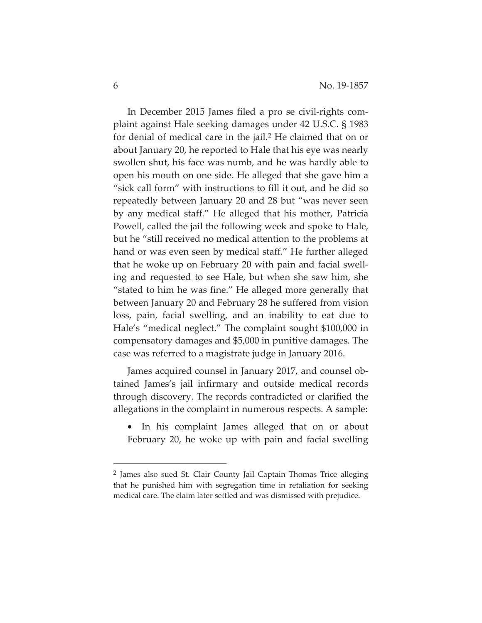In December 2015 James filed a pro se civil-rights complaint against Hale seeking damages under 42 U.S.C. § 1983 for denial of medical care in the jail.2 He claimed that on or about January 20, he reported to Hale that his eye was nearly swollen shut, his face was numb, and he was hardly able to open his mouth on one side. He alleged that she gave him a "sick call form" with instructions to fill it out, and he did so repeatedly between January 20 and 28 but "was never seen by any medical staff." He alleged that his mother, Patricia Powell, called the jail the following week and spoke to Hale, but he "still received no medical attention to the problems at hand or was even seen by medical staff." He further alleged that he woke up on February 20 with pain and facial swelling and requested to see Hale, but when she saw him, she "stated to him he was fine." He alleged more generally that between January 20 and February 28 he suffered from vision loss, pain, facial swelling, and an inability to eat due to Hale's "medical neglect." The complaint sought \$100,000 in compensatory damages and \$5,000 in punitive damages. The case was referred to a magistrate judge in January 2016.

James acquired counsel in January 2017, and counsel obtained James's jail infirmary and outside medical records through discovery. The records contradicted or clarified the allegations in the complaint in numerous respects. A sample:

• In his complaint James alleged that on or about February 20, he woke up with pain and facial swelling

<sup>2</sup> James also sued St. Clair County Jail Captain Thomas Trice alleging that he punished him with segregation time in retaliation for seeking medical care. The claim later settled and was dismissed with prejudice.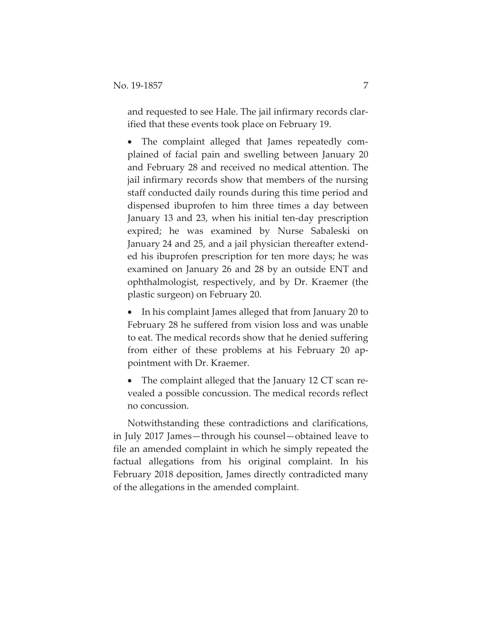and requested to see Hale. The jail infirmary records clarified that these events took place on February 19.

• The complaint alleged that James repeatedly complained of facial pain and swelling between January 20 and February 28 and received no medical attention. The jail infirmary records show that members of the nursing staff conducted daily rounds during this time period and dispensed ibuprofen to him three times a day between January 13 and 23, when his initial ten-day prescription expired; he was examined by Nurse Sabaleski on January 24 and 25, and a jail physician thereafter extended his ibuprofen prescription for ten more days; he was examined on January 26 and 28 by an outside ENT and ophthalmologist, respectively, and by Dr. Kraemer (the plastic surgeon) on February 20.

• In his complaint James alleged that from January 20 to February 28 he suffered from vision loss and was unable to eat. The medical records show that he denied suffering from either of these problems at his February 20 appointment with Dr. Kraemer.

The complaint alleged that the January 12 CT scan revealed a possible concussion. The medical records reflect no concussion.

Notwithstanding these contradictions and clarifications, in July 2017 James—through his counsel—obtained leave to file an amended complaint in which he simply repeated the factual allegations from his original complaint. In his February 2018 deposition, James directly contradicted many of the allegations in the amended complaint.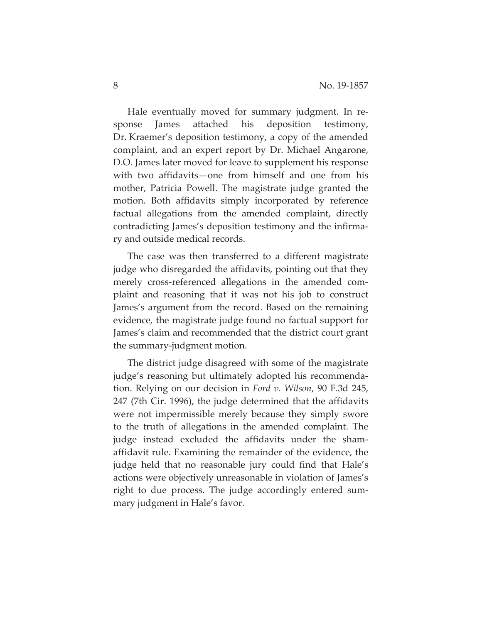Hale eventually moved for summary judgment. In response James attached his deposition testimony, Dr. Kraemer's deposition testimony, a copy of the amended complaint, and an expert report by Dr. Michael Angarone, D.O. James later moved for leave to supplement his response with two affidavits—one from himself and one from his mother, Patricia Powell. The magistrate judge granted the motion. Both affidavits simply incorporated by reference factual allegations from the amended complaint, directly contradicting James's deposition testimony and the infirmary and outside medical records.

The case was then transferred to a different magistrate judge who disregarded the affidavits, pointing out that they merely cross-referenced allegations in the amended complaint and reasoning that it was not his job to construct James's argument from the record. Based on the remaining evidence, the magistrate judge found no factual support for James's claim and recommended that the district court grant the summary-judgment motion.

The district judge disagreed with some of the magistrate judge's reasoning but ultimately adopted his recommendation. Relying on our decision in *Ford v. Wilson*, 90 F.3d 245, 247 (7th Cir. 1996), the judge determined that the affidavits were not impermissible merely because they simply swore to the truth of allegations in the amended complaint. The judge instead excluded the affidavits under the shamaffidavit rule. Examining the remainder of the evidence, the judge held that no reasonable jury could find that Hale's actions were objectively unreasonable in violation of James's right to due process. The judge accordingly entered summary judgment in Hale's favor.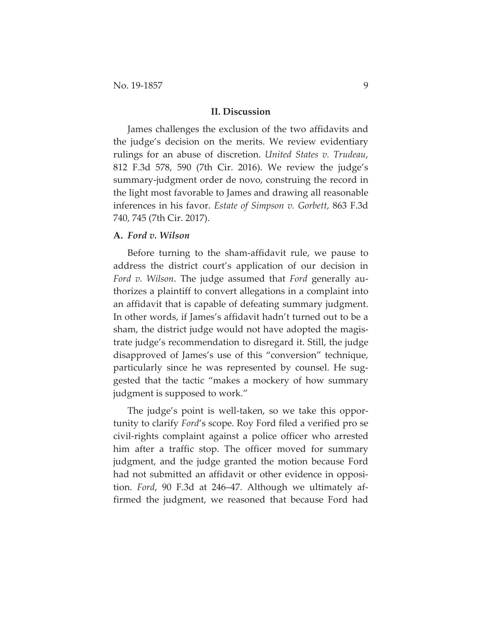#### **II. Discussion**

James challenges the exclusion of the two affidavits and the judge's decision on the merits. We review evidentiary rulings for an abuse of discretion. *United States v. Trudeau*, 812 F.3d 578, 590 (7th Cir. 2016). We review the judge's summary-judgment order de novo, construing the record in the light most favorable to James and drawing all reasonable inferences in his favor. *Estate of Simpson v. Gorbett*, 863 F.3d 740, 745 (7th Cir. 2017).

## **A.** *Ford v. Wilson*

Before turning to the sham-affidavit rule, we pause to address the district court's application of our decision in *Ford v. Wilson*. The judge assumed that *Ford* generally authorizes a plaintiff to convert allegations in a complaint into an affidavit that is capable of defeating summary judgment. In other words, if James's affidavit hadn't turned out to be a sham, the district judge would not have adopted the magistrate judge's recommendation to disregard it. Still, the judge disapproved of James's use of this "conversion" technique, particularly since he was represented by counsel. He suggested that the tactic "makes a mockery of how summary judgment is supposed to work."

The judge's point is well-taken, so we take this opportunity to clarify *Ford*'s scope. Roy Ford filed a verified pro se civil-rights complaint against a police officer who arrested him after a traffic stop. The officer moved for summary judgment, and the judge granted the motion because Ford had not submitted an affidavit or other evidence in opposition. *Ford*, 90 F.3d at 246–47. Although we ultimately affirmed the judgment, we reasoned that because Ford had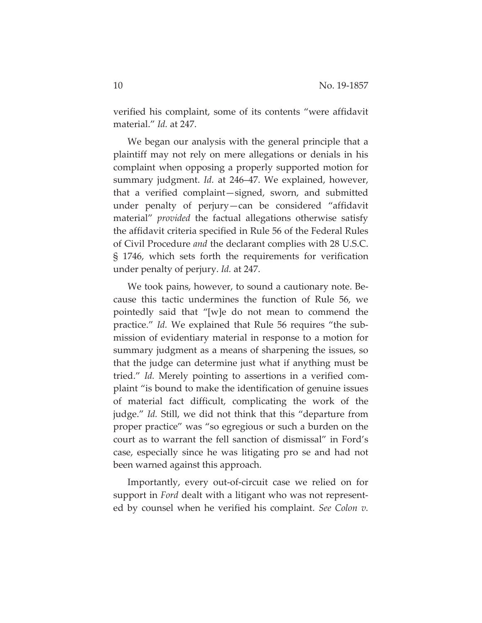verified his complaint, some of its contents "were affidavit material." *Id.* at 247.

We began our analysis with the general principle that a plaintiff may not rely on mere allegations or denials in his complaint when opposing a properly supported motion for summary judgment. *Id.* at 246–47. We explained, however, that a verified complaint—signed, sworn, and submitted under penalty of perjury—can be considered "affidavit material" *provided* the factual allegations otherwise satisfy the affidavit criteria specified in Rule 56 of the Federal Rules of Civil Procedure *and* the declarant complies with 28 U.S.C. § 1746, which sets forth the requirements for verification under penalty of perjury. *Id.* at 247.

We took pains, however, to sound a cautionary note. Because this tactic undermines the function of Rule 56, we pointedly said that "[w]e do not mean to commend the practice." *Id.* We explained that Rule 56 requires "the submission of evidentiary material in response to a motion for summary judgment as a means of sharpening the issues, so that the judge can determine just what if anything must be tried." *Id.* Merely pointing to assertions in a verified complaint "is bound to make the identification of genuine issues of material fact difficult, complicating the work of the judge." *Id.* Still, we did not think that this "departure from proper practice" was "so egregious or such a burden on the court as to warrant the fell sanction of dismissal" in Ford's case, especially since he was litigating pro se and had not been warned against this approach.

Importantly, every out-of-circuit case we relied on for support in *Ford* dealt with a litigant who was not represented by counsel when he verified his complaint. *See Colon v.*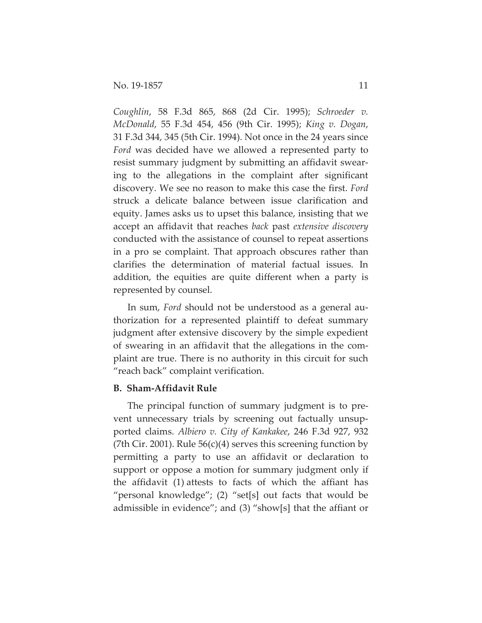*Coughlin*, 58 F.3d 865, 868 (2d Cir. 1995); *Schroeder v. McDonald*, 55 F.3d 454, 456 (9th Cir. 1995); *King v. Dogan*, 31 F.3d 344, 345 (5th Cir. 1994). Not once in the 24 years since *Ford* was decided have we allowed a represented party to resist summary judgment by submitting an affidavit swearing to the allegations in the complaint after significant discovery. We see no reason to make this case the first. *Ford* struck a delicate balance between issue clarification and equity. James asks us to upset this balance, insisting that we accept an affidavit that reaches *back* past *extensive discovery*  conducted with the assistance of counsel to repeat assertions in a pro se complaint. That approach obscures rather than clarifies the determination of material factual issues. In addition, the equities are quite different when a party is represented by counsel.

In sum, *Ford* should not be understood as a general authorization for a represented plaintiff to defeat summary judgment after extensive discovery by the simple expedient of swearing in an affidavit that the allegations in the complaint are true. There is no authority in this circuit for such "reach back" complaint verification.

## **B. Sham-Affidavit Rule**

The principal function of summary judgment is to prevent unnecessary trials by screening out factually unsupported claims. *Albiero v. City of Kankakee*, 246 F.3d 927, 932 (7th Cir. 2001). Rule  $56(c)(4)$  serves this screening function by permitting a party to use an affidavit or declaration to support or oppose a motion for summary judgment only if the affidavit (1) attests to facts of which the affiant has "personal knowledge"; (2) "set[s] out facts that would be admissible in evidence"; and (3) "show[s] that the affiant or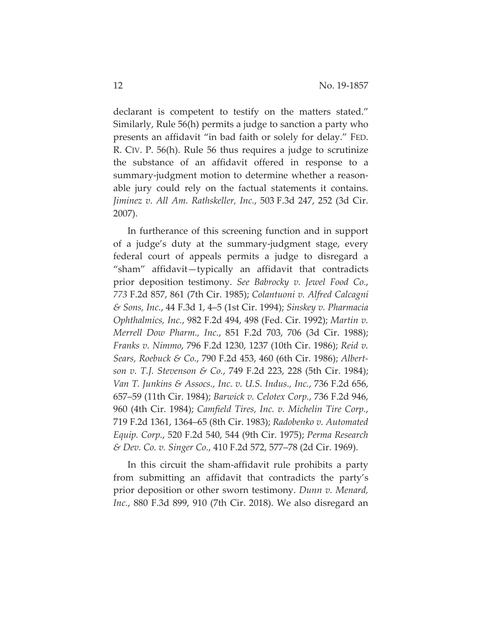declarant is competent to testify on the matters stated." Similarly, Rule 56(h) permits a judge to sanction a party who presents an affidavit "in bad faith or solely for delay." FED. R. CIV. P. 56(h). Rule 56 thus requires a judge to scrutinize the substance of an affidavit offered in response to a summary-judgment motion to determine whether a reasonable jury could rely on the factual statements it contains. *Jiminez v. All Am. Rathskeller, Inc.*, 503 F.3d 247, 252 (3d Cir. 2007).

In furtherance of this screening function and in support of a judge's duty at the summary-judgment stage, every federal court of appeals permits a judge to disregard a "sham" affidavit—typically an affidavit that contradicts prior deposition testimony. *See Babrocky v. Jewel Food Co.*, *773* F.2d 857, 861 (7th Cir. 1985); *Colantuoni v. Alfred Calcagni & Sons, Inc.*, 44 F.3d 1, 4–5 (1st Cir. 1994); *Sinskey v. Pharmacia Ophthalmics, Inc.*, 982 F.2d 494, 498 (Fed. Cir. 1992); *Martin v. Merrell Dow Pharm., Inc.*, 851 F.2d 703, 706 (3d Cir. 1988); *Franks v. Nimmo*, 796 F.2d 1230, 1237 (10th Cir. 1986); *Reid v. Sears, Roebuck & Co.*, 790 F.2d 453, 460 (6th Cir. 1986); *Albertson v. T.J. Stevenson & Co.*, 749 F.2d 223, 228 (5th Cir. 1984); *Van T. Junkins & Assocs., Inc. v. U.S. Indus., Inc.*, 736 F.2d 656, 657–59 (11th Cir. 1984); *Barwick v. Celotex Corp.*, 736 F.2d 946, 960 (4th Cir. 1984); *Camfield Tires, Inc. v. Michelin Tire Corp.*, 719 F.2d 1361, 1364–65 (8th Cir. 1983); *Radobenko v. Automated Equip. Corp.*, 520 F.2d 540, 544 (9th Cir. 1975); *Perma Research & Dev. Co. v. Singer Co.*, 410 F.2d 572, 577–78 (2d Cir. 1969).

In this circuit the sham-affidavit rule prohibits a party from submitting an affidavit that contradicts the party's prior deposition or other sworn testimony. *Dunn v. Menard, Inc.*, 880 F.3d 899, 910 (7th Cir. 2018). We also disregard an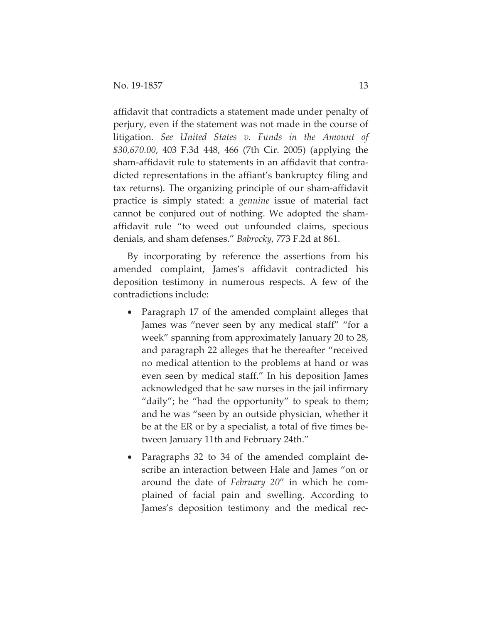affidavit that contradicts a statement made under penalty of perjury, even if the statement was not made in the course of litigation. *See United States v. Funds in the Amount of \$30,670.00*, 403 F.3d 448, 466 (7th Cir. 2005) (applying the sham-affidavit rule to statements in an affidavit that contradicted representations in the affiant's bankruptcy filing and tax returns). The organizing principle of our sham-affidavit practice is simply stated: a *genuine* issue of material fact cannot be conjured out of nothing. We adopted the shamaffidavit rule "to weed out unfounded claims, specious denials, and sham defenses." *Babrocky*, 773 F.2d at 861.

By incorporating by reference the assertions from his amended complaint, James's affidavit contradicted his deposition testimony in numerous respects. A few of the contradictions include:

- Paragraph 17 of the amended complaint alleges that James was "never seen by any medical staff" "for a week" spanning from approximately January 20 to 28, and paragraph 22 alleges that he thereafter "received no medical attention to the problems at hand or was even seen by medical staff." In his deposition James acknowledged that he saw nurses in the jail infirmary "daily"; he "had the opportunity" to speak to them; and he was "seen by an outside physician, whether it be at the ER or by a specialist, a total of five times between January 11th and February 24th."
- Paragraphs 32 to 34 of the amended complaint describe an interaction between Hale and James "on or around the date of *February 20*" in which he complained of facial pain and swelling. According to James's deposition testimony and the medical rec-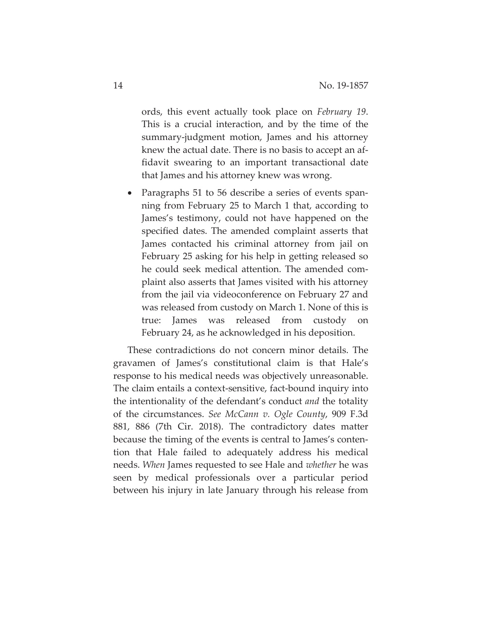ords, this event actually took place on *February 19*. This is a crucial interaction, and by the time of the summary-judgment motion, James and his attorney knew the actual date. There is no basis to accept an affidavit swearing to an important transactional date that James and his attorney knew was wrong.

Paragraphs 51 to 56 describe a series of events spanning from February 25 to March 1 that, according to James's testimony, could not have happened on the specified dates. The amended complaint asserts that James contacted his criminal attorney from jail on February 25 asking for his help in getting released so he could seek medical attention. The amended complaint also asserts that James visited with his attorney from the jail via videoconference on February 27 and was released from custody on March 1. None of this is true: James was released from custody on February 24, as he acknowledged in his deposition.

These contradictions do not concern minor details. The gravamen of James's constitutional claim is that Hale's response to his medical needs was objectively unreasonable. The claim entails a context-sensitive, fact-bound inquiry into the intentionality of the defendant's conduct *and* the totality of the circumstances. *See McCann v. Ogle County*, 909 F.3d 881, 886 (7th Cir. 2018). The contradictory dates matter because the timing of the events is central to James's contention that Hale failed to adequately address his medical needs. *When* James requested to see Hale and *whether* he was seen by medical professionals over a particular period between his injury in late January through his release from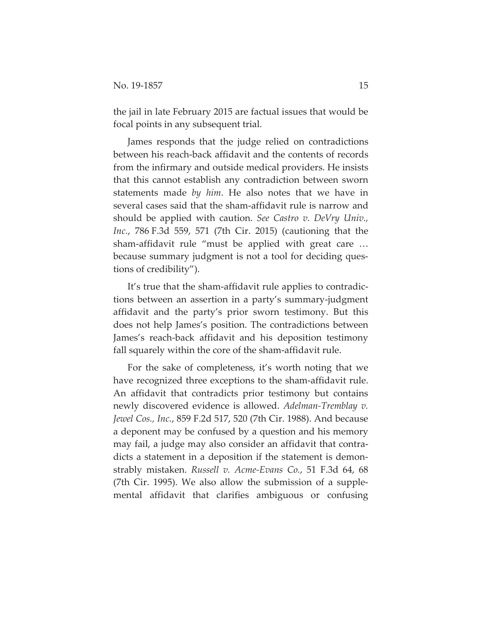the jail in late February 2015 are factual issues that would be focal points in any subsequent trial.

James responds that the judge relied on contradictions between his reach-back affidavit and the contents of records from the infirmary and outside medical providers. He insists that this cannot establish any contradiction between sworn statements made *by him*. He also notes that we have in several cases said that the sham-affidavit rule is narrow and should be applied with caution. *See Castro v. DeVry Univ., Inc.*, 786 F.3d 559, 571 (7th Cir. 2015) (cautioning that the sham-affidavit rule "must be applied with great care … because summary judgment is not a tool for deciding questions of credibility").

It's true that the sham-affidavit rule applies to contradictions between an assertion in a party's summary-judgment affidavit and the party's prior sworn testimony. But this does not help James's position. The contradictions between James's reach-back affidavit and his deposition testimony fall squarely within the core of the sham-affidavit rule.

For the sake of completeness, it's worth noting that we have recognized three exceptions to the sham-affidavit rule. An affidavit that contradicts prior testimony but contains newly discovered evidence is allowed. *Adelman-Tremblay v. Jewel Cos., Inc.*, 859 F.2d 517, 520 (7th Cir. 1988). And because a deponent may be confused by a question and his memory may fail, a judge may also consider an affidavit that contradicts a statement in a deposition if the statement is demonstrably mistaken. *Russell v. Acme-Evans Co.*, 51 F.3d 64, 68 (7th Cir. 1995). We also allow the submission of a supplemental affidavit that clarifies ambiguous or confusing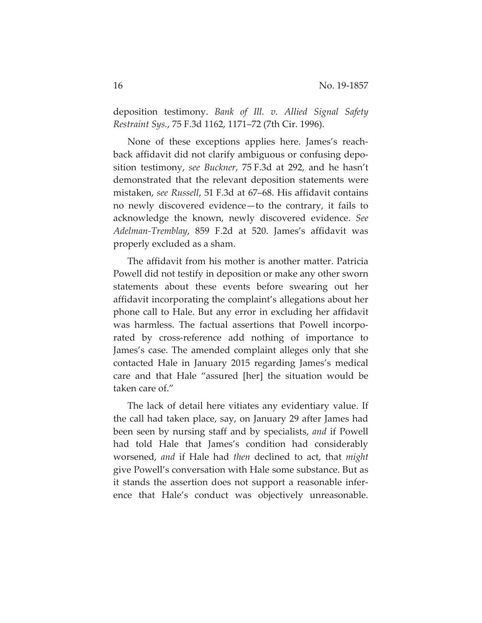deposition testimony. *Bank of Ill. v. Allied Signal Safety Restraint Sys.*, 75 F.3d 1162, 1171–72 (7th Cir. 1996).

None of these exceptions applies here. James's reachback affidavit did not clarify ambiguous or confusing deposition testimony, *see Buckner*, 75 F.3d at 292, and he hasn't demonstrated that the relevant deposition statements were mistaken, *see Russell*, 51 F.3d at 67–68. His affidavit contains no newly discovered evidence—to the contrary, it fails to acknowledge the known, newly discovered evidence. *See Adelman-Tremblay*, 859 F.2d at 520. James's affidavit was properly excluded as a sham.

The affidavit from his mother is another matter. Patricia Powell did not testify in deposition or make any other sworn statements about these events before swearing out her affidavit incorporating the complaint's allegations about her phone call to Hale. But any error in excluding her affidavit was harmless. The factual assertions that Powell incorporated by cross-reference add nothing of importance to James's case. The amended complaint alleges only that she contacted Hale in January 2015 regarding James's medical care and that Hale "assured [her] the situation would be taken care of."

The lack of detail here vitiates any evidentiary value. If the call had taken place, say, on January 29 after James had been seen by nursing staff and by specialists, *and* if Powell had told Hale that James's condition had considerably worsened, *and* if Hale had *then* declined to act, that *might* give Powell's conversation with Hale some substance. But as it stands the assertion does not support a reasonable inference that Hale's conduct was objectively unreasonable.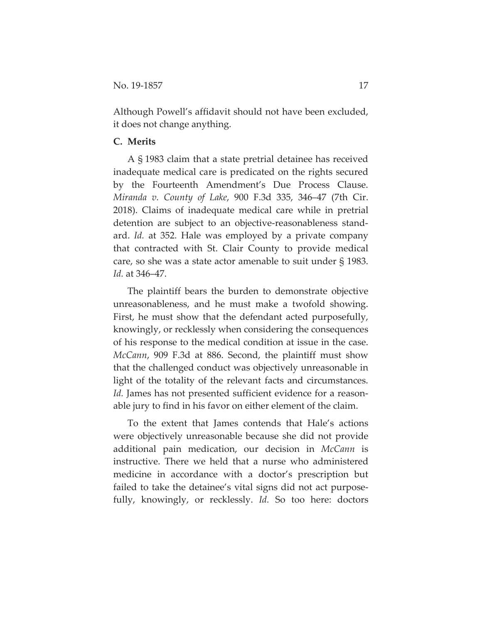Although Powell's affidavit should not have been excluded, it does not change anything.

# **C. Merits**

A § 1983 claim that a state pretrial detainee has received inadequate medical care is predicated on the rights secured by the Fourteenth Amendment's Due Process Clause. *Miranda v. County of Lake*, 900 F.3d 335, 346–47 (7th Cir. 2018). Claims of inadequate medical care while in pretrial detention are subject to an objective-reasonableness standard. *Id.* at 352. Hale was employed by a private company that contracted with St. Clair County to provide medical care, so she was a state actor amenable to suit under § 1983. *Id.* at 346–47.

The plaintiff bears the burden to demonstrate objective unreasonableness, and he must make a twofold showing. First, he must show that the defendant acted purposefully, knowingly, or recklessly when considering the consequences of his response to the medical condition at issue in the case. *McCann*, 909 F.3d at 886. Second, the plaintiff must show that the challenged conduct was objectively unreasonable in light of the totality of the relevant facts and circumstances. *Id.* James has not presented sufficient evidence for a reasonable jury to find in his favor on either element of the claim.

To the extent that James contends that Hale's actions were objectively unreasonable because she did not provide additional pain medication, our decision in *McCann* is instructive. There we held that a nurse who administered medicine in accordance with a doctor's prescription but failed to take the detainee's vital signs did not act purposefully, knowingly, or recklessly. *Id.* So too here: doctors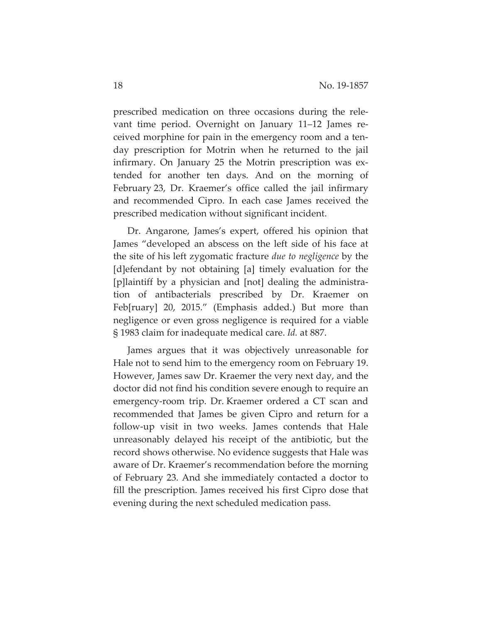prescribed medication on three occasions during the relevant time period. Overnight on January 11–12 James received morphine for pain in the emergency room and a tenday prescription for Motrin when he returned to the jail infirmary. On January 25 the Motrin prescription was extended for another ten days. And on the morning of February 23, Dr. Kraemer's office called the jail infirmary and recommended Cipro. In each case James received the prescribed medication without significant incident.

Dr. Angarone, James's expert, offered his opinion that James "developed an abscess on the left side of his face at the site of his left zygomatic fracture *due to negligence* by the [d]efendant by not obtaining [a] timely evaluation for the [p]laintiff by a physician and [not] dealing the administration of antibacterials prescribed by Dr. Kraemer on Feb[ruary] 20, 2015." (Emphasis added.) But more than negligence or even gross negligence is required for a viable § 1983 claim for inadequate medical care. *Id.* at 887.

James argues that it was objectively unreasonable for Hale not to send him to the emergency room on February 19. However, James saw Dr. Kraemer the very next day, and the doctor did not find his condition severe enough to require an emergency-room trip. Dr. Kraemer ordered a CT scan and recommended that James be given Cipro and return for a follow-up visit in two weeks. James contends that Hale unreasonably delayed his receipt of the antibiotic, but the record shows otherwise. No evidence suggests that Hale was aware of Dr. Kraemer's recommendation before the morning of February 23. And she immediately contacted a doctor to fill the prescription. James received his first Cipro dose that evening during the next scheduled medication pass.